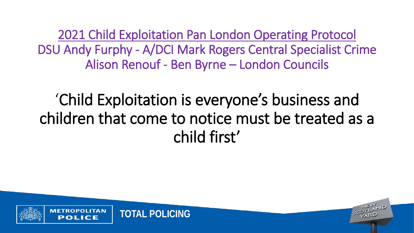2021 Child Exploitation Pan London Operating Protocol DSU Andy Furphy - A/DCI Mark Rogers Central Specialist Crime Alison Renouf - Ben Byrne – London Councils

## 'Child Exploitation is everyone's business and children that come to notice must be treated as a child first'

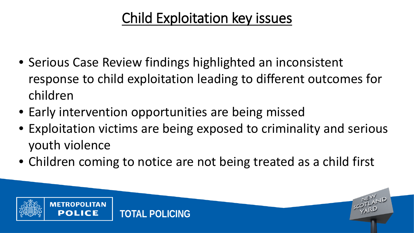### Child Exploitation key issues

- Serious Case Review findings highlighted an inconsistent response to child exploitation leading to different outcomes for children
- Early intervention opportunities are being missed
- Exploitation victims are being exposed to criminality and serious youth violence
- Children coming to notice are not being treated as a child first

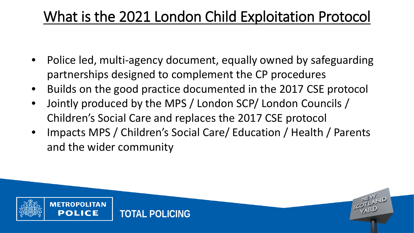### What is the 2021 London Child Exploitation Protocol

- Police led, multi-agency document, equally owned by safeguarding partnerships designed to complement the CP procedures
- Builds on the good practice documented in the 2017 CSE protocol
- Jointly produced by the MPS / London SCP/ London Councils / Children's Social Care and replaces the 2017 CSE protocol
- Impacts MPS / Children's Social Care/ Education / Health / Parents and the wider community

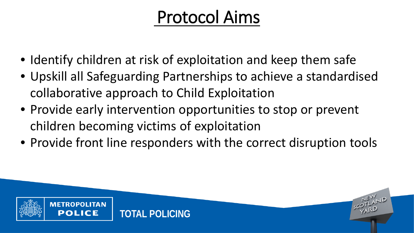# Protocol Aims

- Identify children at risk of exploitation and keep them safe
- Upskill all Safeguarding Partnerships to achieve a standardised collaborative approach to Child Exploitation
- Provide early intervention opportunities to stop or prevent children becoming victims of exploitation
- Provide front line responders with the correct disruption tools

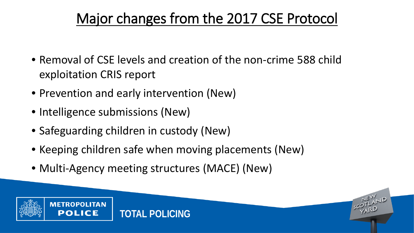### Major changes from the 2017 CSE Protocol

- Removal of CSE levels and creation of the non-crime 588 child exploitation CRIS report
- Prevention and early intervention (New)
- Intelligence submissions (New)
- Safeguarding children in custody (New)
- Keeping children safe when moving placements (New)
- Multi-Agency meeting structures (MACE) (New)

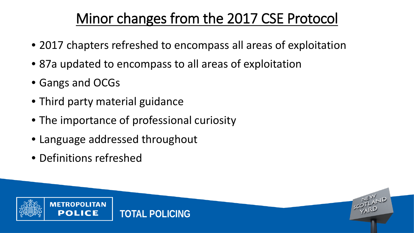### Minor changes from the 2017 CSE Protocol

- 2017 chapters refreshed to encompass all areas of exploitation
- 87a updated to encompass to all areas of exploitation
- Gangs and OCGs
- Third party material guidance
- The importance of professional curiosity
- Language addressed throughout
- Definitions refreshed